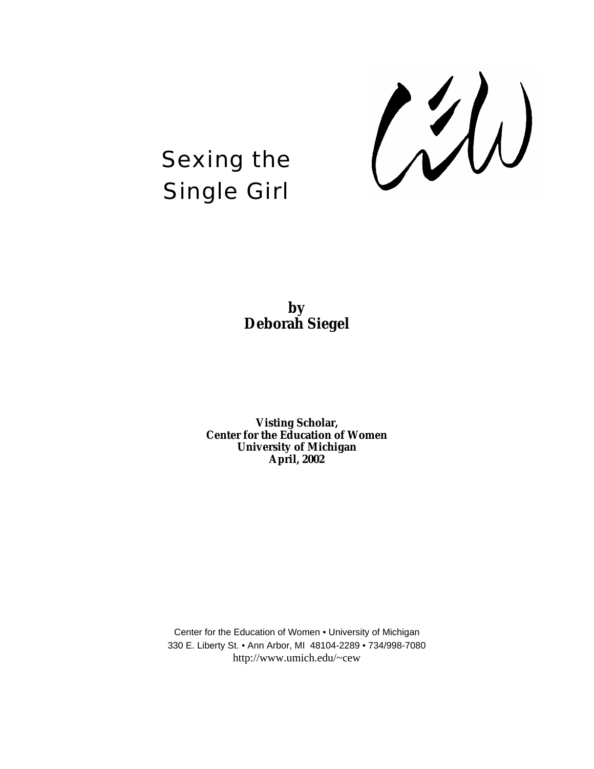

# Sexing the Single Girl



**Visting Scholar, Center for the Education of Women University of Michigan April, 2002**

Center for the Education of Women • University of Michigan 330 E. Liberty St. • Ann Arbor, MI 48104-2289 • 734/998-7080 http://www.umich.edu/~cew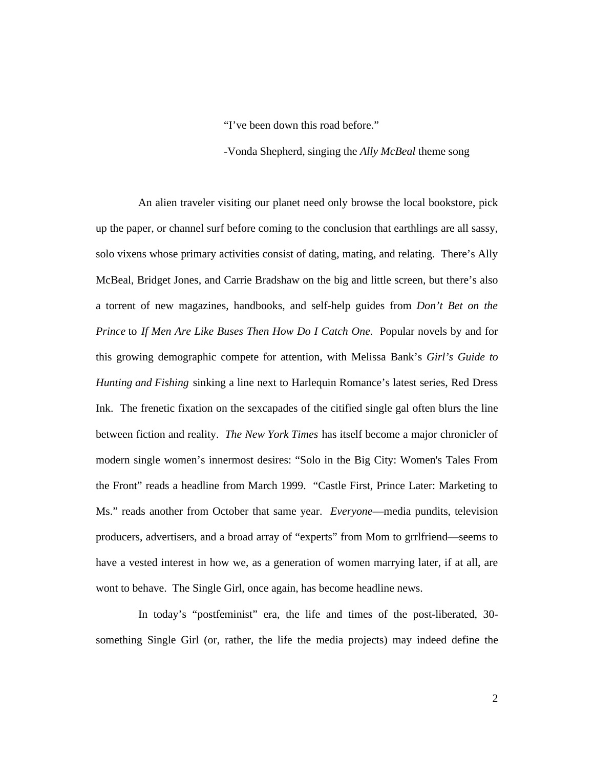"I've been down this road before."

-Vonda Shepherd, singing the *Ally McBeal* theme song

An alien traveler visiting our planet need only browse the local bookstore, pick up the paper, or channel surf before coming to the conclusion that earthlings are all sassy, solo vixens whose primary activities consist of dating, mating, and relating. There's Ally McBeal, Bridget Jones, and Carrie Bradshaw on the big and little screen, but there's also a torrent of new magazines, handbooks, and self-help guides from *Don't Bet on the Prince* to *If Men Are Like Buses Then How Do I Catch One*. Popular novels by and for this growing demographic compete for attention, with Melissa Bank's *Girl's Guide to Hunting and Fishing* sinking a line next to Harlequin Romance's latest series, Red Dress Ink. The frenetic fixation on the sexcapades of the citified single gal often blurs the line between fiction and reality. *The New York Times* has itself become a major chronicler of modern single women's innermost desires: "Solo in the Big City: Women's Tales From the Front" reads a headline from March 1999. "Castle First, Prince Later: Marketing to Ms." reads another from October that same year. *Everyone*—media pundits, television producers, advertisers, and a broad array of "experts" from Mom to grrlfriend—seems to have a vested interest in how we, as a generation of women marrying later, if at all, are wont to behave. The Single Girl, once again, has become headline news.

In today's "postfeminist" era, the life and times of the post-liberated, 30 something Single Girl (or, rather, the life the media projects) may indeed define the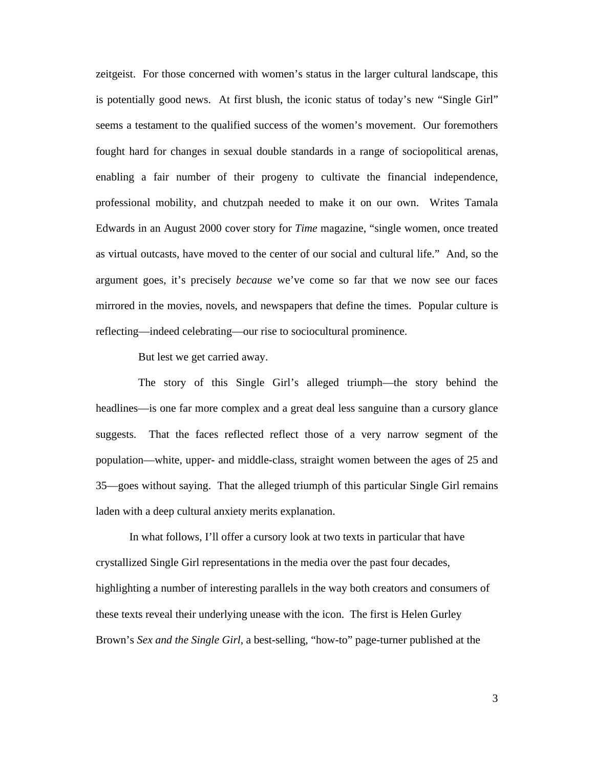zeitgeist. For those concerned with women's status in the larger cultural landscape, this is potentially good news. At first blush, the iconic status of today's new "Single Girl" seems a testament to the qualified success of the women's movement. Our foremothers fought hard for changes in sexual double standards in a range of sociopolitical arenas, enabling a fair number of their progeny to cultivate the financial independence, professional mobility, and chutzpah needed to make it on our own. Writes Tamala Edwards in an August 2000 cover story for *Time* magazine, "single women, once treated as virtual outcasts, have moved to the center of our social and cultural life." And, so the argument goes, it's precisely *because* we've come so far that we now see our faces mirrored in the movies, novels, and newspapers that define the times. Popular culture is reflecting—indeed celebrating—our rise to sociocultural prominence.

But lest we get carried away.

The story of this Single Girl's alleged triumph—the story behind the headlines—is one far more complex and a great deal less sanguine than a cursory glance suggests. That the faces reflected reflect those of a very narrow segment of the population—white, upper- and middle-class, straight women between the ages of 25 and 35—goes without saying. That the alleged triumph of this particular Single Girl remains laden with a deep cultural anxiety merits explanation.

In what follows, I'll offer a cursory look at two texts in particular that have crystallized Single Girl representations in the media over the past four decades, highlighting a number of interesting parallels in the way both creators and consumers of these texts reveal their underlying unease with the icon. The first is Helen Gurley Brown's *Sex and the Single Girl*, a best-selling, "how-to" page-turner published at the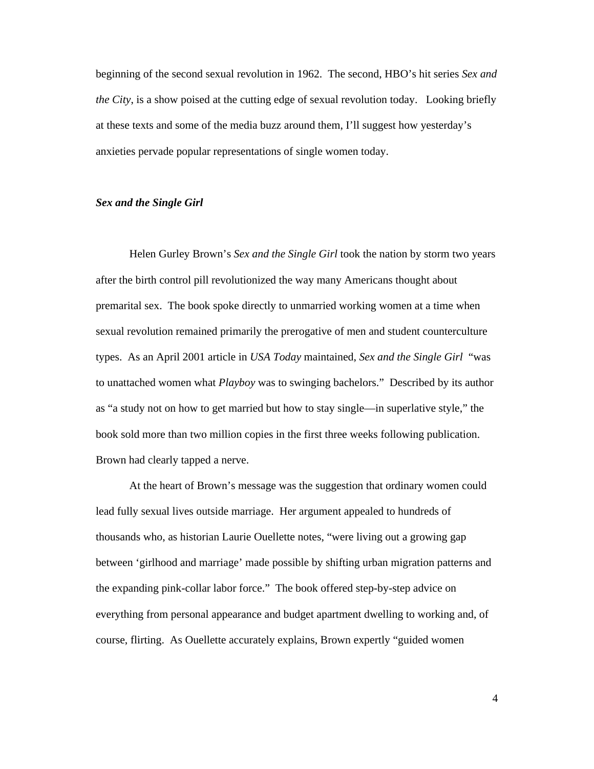beginning of the second sexual revolution in 1962. The second, HBO's hit series *Sex and the City*, is a show poised at the cutting edge of sexual revolution today. Looking briefly at these texts and some of the media buzz around them, I'll suggest how yesterday's anxieties pervade popular representations of single women today.

## *Sex and the Single Girl*

Helen Gurley Brown's *Sex and the Single Girl* took the nation by storm two years after the birth control pill revolutionized the way many Americans thought about premarital sex. The book spoke directly to unmarried working women at a time when sexual revolution remained primarily the prerogative of men and student counterculture types. As an April 2001 article in *USA Today* maintained, *Sex and the Single Girl* "was to unattached women what *Playboy* was to swinging bachelors." Described by its author as "a study not on how to get married but how to stay single—in superlative style," the book sold more than two million copies in the first three weeks following publication. Brown had clearly tapped a nerve.

At the heart of Brown's message was the suggestion that ordinary women could lead fully sexual lives outside marriage. Her argument appealed to hundreds of thousands who, as historian Laurie Ouellette notes, "were living out a growing gap between 'girlhood and marriage' made possible by shifting urban migration patterns and the expanding pink-collar labor force." The book offered step-by-step advice on everything from personal appearance and budget apartment dwelling to working and, of course, flirting. As Ouellette accurately explains, Brown expertly "guided women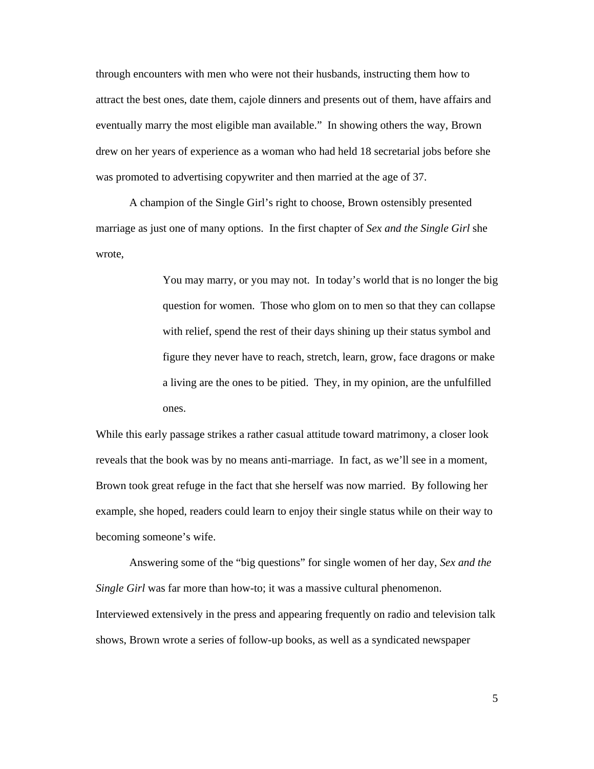through encounters with men who were not their husbands, instructing them how to attract the best ones, date them, cajole dinners and presents out of them, have affairs and eventually marry the most eligible man available." In showing others the way, Brown drew on her years of experience as a woman who had held 18 secretarial jobs before she was promoted to advertising copywriter and then married at the age of 37.

A champion of the Single Girl's right to choose, Brown ostensibly presented marriage as just one of many options. In the first chapter of *Sex and the Single Girl* she wrote,

> You may marry, or you may not. In today's world that is no longer the big question for women. Those who glom on to men so that they can collapse with relief, spend the rest of their days shining up their status symbol and figure they never have to reach, stretch, learn, grow, face dragons or make a living are the ones to be pitied. They, in my opinion, are the unfulfilled ones.

While this early passage strikes a rather casual attitude toward matrimony, a closer look reveals that the book was by no means anti-marriage. In fact, as we'll see in a moment, Brown took great refuge in the fact that she herself was now married. By following her example, she hoped, readers could learn to enjoy their single status while on their way to becoming someone's wife.

Answering some of the "big questions" for single women of her day, *Sex and the Single Girl* was far more than how-to; it was a massive cultural phenomenon. Interviewed extensively in the press and appearing frequently on radio and television talk shows, Brown wrote a series of follow-up books, as well as a syndicated newspaper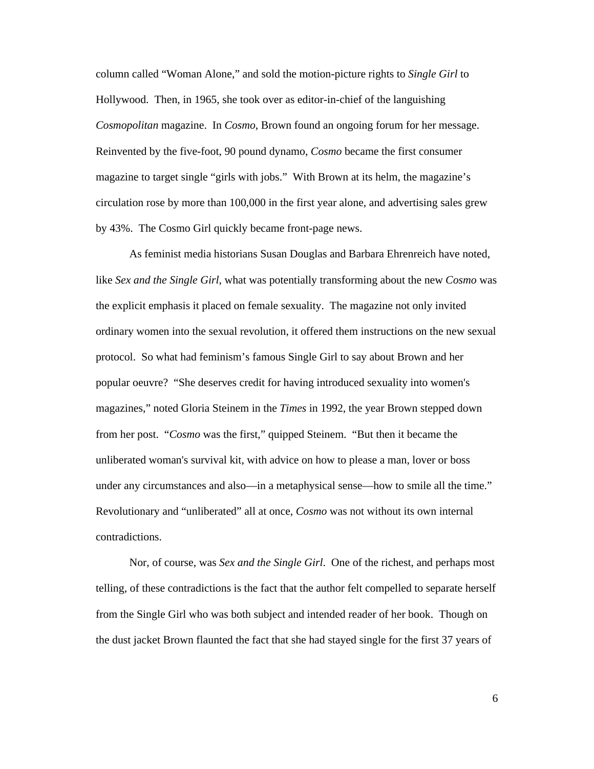column called "Woman Alone," and sold the motion-picture rights to *Single Girl* to Hollywood. Then, in 1965, she took over as editor-in-chief of the languishing *Cosmopolitan* magazine. In *Cosmo*, Brown found an ongoing forum for her message. Reinvented by the five-foot, 90 pound dynamo, *Cosmo* became the first consumer magazine to target single "girls with jobs." With Brown at its helm, the magazine's circulation rose by more than 100,000 in the first year alone, and advertising sales grew by 43%. The Cosmo Girl quickly became front-page news.

As feminist media historians Susan Douglas and Barbara Ehrenreich have noted, like *Sex and the Single Girl*, what was potentially transforming about the new *Cosmo* was the explicit emphasis it placed on female sexuality. The magazine not only invited ordinary women into the sexual revolution, it offered them instructions on the new sexual protocol. So what had feminism's famous Single Girl to say about Brown and her popular oeuvre? "She deserves credit for having introduced sexuality into women's magazines," noted Gloria Steinem in the *Times* in 1992, the year Brown stepped down from her post. "*Cosmo* was the first," quipped Steinem. "But then it became the unliberated woman's survival kit, with advice on how to please a man, lover or boss under any circumstances and also—in a metaphysical sense—how to smile all the time." Revolutionary and "unliberated" all at once, *Cosmo* was not without its own internal contradictions.

Nor, of course, was *Sex and the Single Girl*. One of the richest, and perhaps most telling, of these contradictions is the fact that the author felt compelled to separate herself from the Single Girl who was both subject and intended reader of her book. Though on the dust jacket Brown flaunted the fact that she had stayed single for the first 37 years of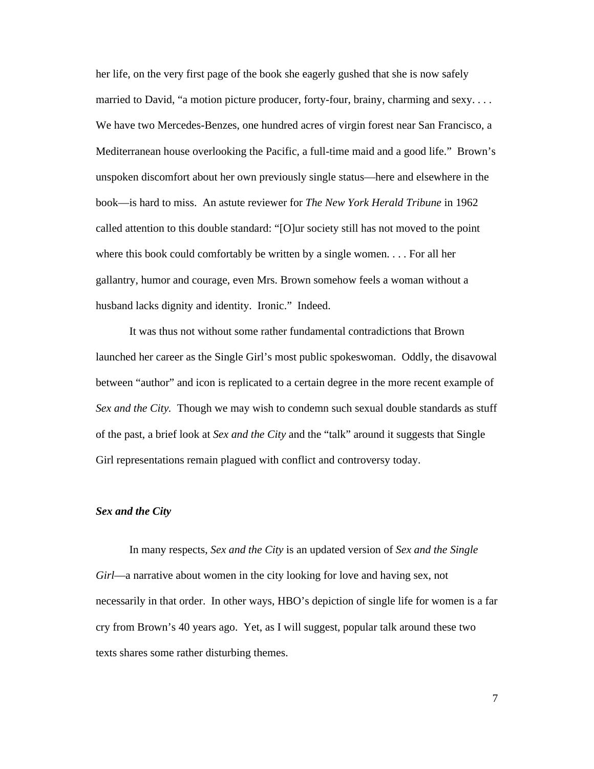her life, on the very first page of the book she eagerly gushed that she is now safely married to David, "a motion picture producer, forty-four, brainy, charming and sexy. . . . We have two Mercedes-Benzes, one hundred acres of virgin forest near San Francisco, a Mediterranean house overlooking the Pacific, a full-time maid and a good life." Brown's unspoken discomfort about her own previously single status—here and elsewhere in the book—is hard to miss. An astute reviewer for *The New York Herald Tribune* in 1962 called attention to this double standard: "[O]ur society still has not moved to the point where this book could comfortably be written by a single women. . . . For all her gallantry, humor and courage, even Mrs. Brown somehow feels a woman without a husband lacks dignity and identity. Ironic." Indeed.

It was thus not without some rather fundamental contradictions that Brown launched her career as the Single Girl's most public spokeswoman. Oddly, the disavowal between "author" and icon is replicated to a certain degree in the more recent example of *Sex and the City.* Though we may wish to condemn such sexual double standards as stuff of the past, a brief look at *Sex and the City* and the "talk" around it suggests that Single Girl representations remain plagued with conflict and controversy today.

#### *Sex and the City*

In many respects, *Sex and the City* is an updated version of *Sex and the Single Girl*—a narrative about women in the city looking for love and having sex, not necessarily in that order. In other ways, HBO's depiction of single life for women is a far cry from Brown's 40 years ago. Yet, as I will suggest, popular talk around these two texts shares some rather disturbing themes.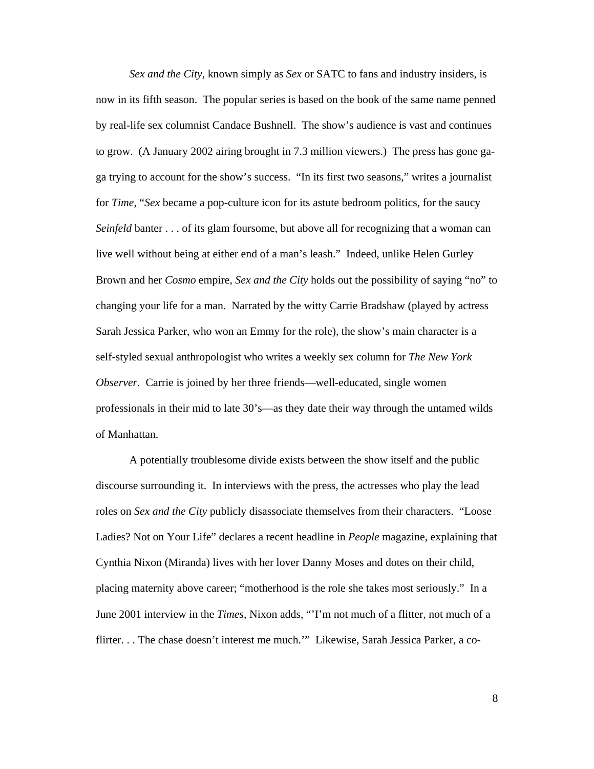*Sex and the City*, known simply as *Sex* or SATC to fans and industry insiders, is now in its fifth season. The popular series is based on the book of the same name penned by real-life sex columnist Candace Bushnell. The show's audience is vast and continues to grow. (A January 2002 airing brought in 7.3 million viewers.) The press has gone gaga trying to account for the show's success. "In its first two seasons," writes a journalist for *Time*, "*Sex* became a pop-culture icon for its astute bedroom politics, for the saucy *Seinfeld* banter . . . of its glam foursome, but above all for recognizing that a woman can live well without being at either end of a man's leash." Indeed, unlike Helen Gurley Brown and her *Cosmo* empire, *Sex and the City* holds out the possibility of saying "no" to changing your life for a man. Narrated by the witty Carrie Bradshaw (played by actress Sarah Jessica Parker, who won an Emmy for the role), the show's main character is a self-styled sexual anthropologist who writes a weekly sex column for *The New York Observer*. Carrie is joined by her three friends—well-educated, single women professionals in their mid to late 30's—as they date their way through the untamed wilds of Manhattan.

A potentially troublesome divide exists between the show itself and the public discourse surrounding it. In interviews with the press, the actresses who play the lead roles on *Sex and the City* publicly disassociate themselves from their characters. "Loose Ladies? Not on Your Life" declares a recent headline in *People* magazine, explaining that Cynthia Nixon (Miranda) lives with her lover Danny Moses and dotes on their child, placing maternity above career; "motherhood is the role she takes most seriously." In a June 2001 interview in the *Times*, Nixon adds, "'I'm not much of a flitter, not much of a flirter. . . The chase doesn't interest me much.'" Likewise, Sarah Jessica Parker, a co-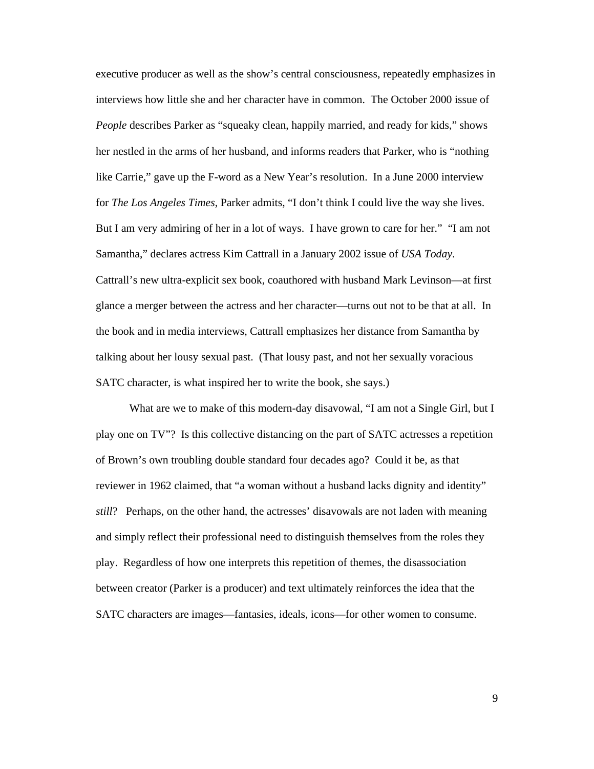executive producer as well as the show's central consciousness, repeatedly emphasizes in interviews how little she and her character have in common. The October 2000 issue of *People* describes Parker as "squeaky clean, happily married, and ready for kids," shows her nestled in the arms of her husband, and informs readers that Parker, who is "nothing like Carrie," gave up the F-word as a New Year's resolution. In a June 2000 interview for *The Los Angeles Times*, Parker admits, "I don't think I could live the way she lives. But I am very admiring of her in a lot of ways. I have grown to care for her." "I am not Samantha," declares actress Kim Cattrall in a January 2002 issue of *USA Today*. Cattrall's new ultra-explicit sex book, coauthored with husband Mark Levinson—at first glance a merger between the actress and her character—turns out not to be that at all. In the book and in media interviews, Cattrall emphasizes her distance from Samantha by talking about her lousy sexual past. (That lousy past, and not her sexually voracious SATC character, is what inspired her to write the book, she says.)

What are we to make of this modern-day disavowal, "I am not a Single Girl, but I play one on TV"? Is this collective distancing on the part of SATC actresses a repetition of Brown's own troubling double standard four decades ago? Could it be, as that reviewer in 1962 claimed, that "a woman without a husband lacks dignity and identity" *still*? Perhaps, on the other hand, the actresses' disavowals are not laden with meaning and simply reflect their professional need to distinguish themselves from the roles they play. Regardless of how one interprets this repetition of themes, the disassociation between creator (Parker is a producer) and text ultimately reinforces the idea that the SATC characters are images—fantasies, ideals, icons—for other women to consume.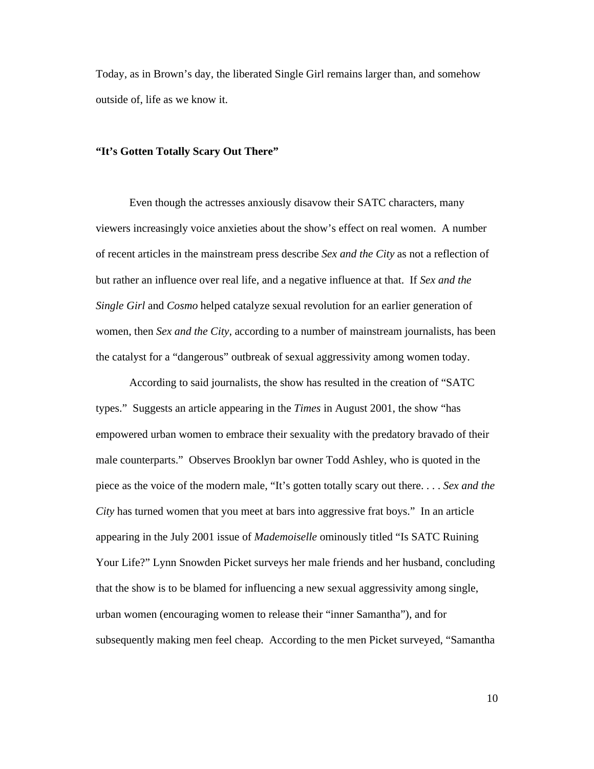Today, as in Brown's day, the liberated Single Girl remains larger than, and somehow outside of, life as we know it.

### **"It's Gotten Totally Scary Out There"**

Even though the actresses anxiously disavow their SATC characters, many viewers increasingly voice anxieties about the show's effect on real women. A number of recent articles in the mainstream press describe *Sex and the City* as not a reflection of but rather an influence over real life, and a negative influence at that. If *Sex and the Single Girl* and *Cosmo* helped catalyze sexual revolution for an earlier generation of women, then *Sex and the City,* according to a number of mainstream journalists, has been the catalyst for a "dangerous" outbreak of sexual aggressivity among women today.

According to said journalists, the show has resulted in the creation of "SATC types." Suggests an article appearing in the *Times* in August 2001, the show "has empowered urban women to embrace their sexuality with the predatory bravado of their male counterparts." Observes Brooklyn bar owner Todd Ashley, who is quoted in the piece as the voice of the modern male, "It's gotten totally scary out there. . . . *Sex and the City* has turned women that you meet at bars into aggressive frat boys." In an article appearing in the July 2001 issue of *Mademoiselle* ominously titled "Is SATC Ruining Your Life?" Lynn Snowden Picket surveys her male friends and her husband, concluding that the show is to be blamed for influencing a new sexual aggressivity among single, urban women (encouraging women to release their "inner Samantha"), and for subsequently making men feel cheap. According to the men Picket surveyed, "Samantha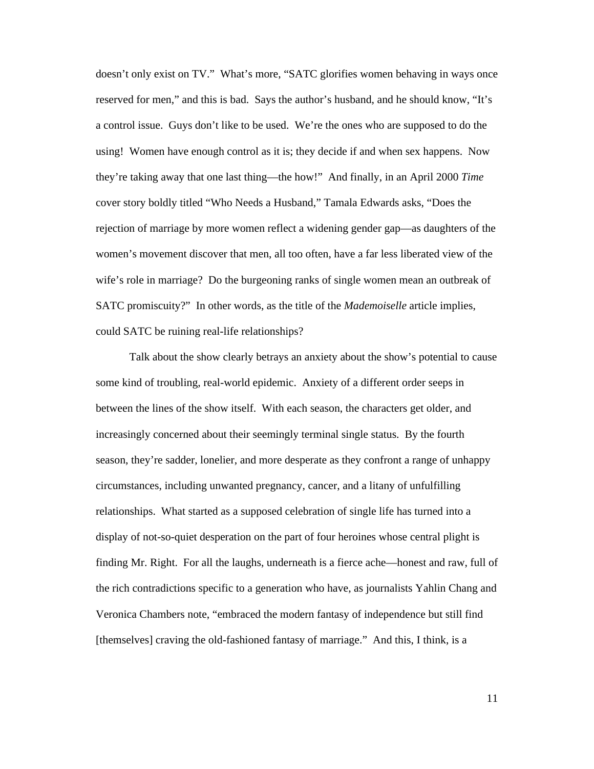doesn't only exist on TV." What's more, "SATC glorifies women behaving in ways once reserved for men," and this is bad. Says the author's husband, and he should know, "It's a control issue. Guys don't like to be used. We're the ones who are supposed to do the using! Women have enough control as it is; they decide if and when sex happens. Now they're taking away that one last thing—the how!" And finally, in an April 2000 *Time* cover story boldly titled "Who Needs a Husband," Tamala Edwards asks, "Does the rejection of marriage by more women reflect a widening gender gap—as daughters of the women's movement discover that men, all too often, have a far less liberated view of the wife's role in marriage? Do the burgeoning ranks of single women mean an outbreak of SATC promiscuity?" In other words, as the title of the *Mademoiselle* article implies, could SATC be ruining real-life relationships?

Talk about the show clearly betrays an anxiety about the show's potential to cause some kind of troubling, real-world epidemic. Anxiety of a different order seeps in between the lines of the show itself. With each season, the characters get older, and increasingly concerned about their seemingly terminal single status. By the fourth season, they're sadder, lonelier, and more desperate as they confront a range of unhappy circumstances, including unwanted pregnancy, cancer, and a litany of unfulfilling relationships.What started as a supposed celebration of single life has turned into a display of not-so-quiet desperation on the part of four heroines whose central plight is finding Mr. Right. For all the laughs, underneath is a fierce ache—honest and raw, full of the rich contradictions specific to a generation who have, as journalists Yahlin Chang and Veronica Chambers note, "embraced the modern fantasy of independence but still find [themselves] craving the old-fashioned fantasy of marriage." And this, I think, is a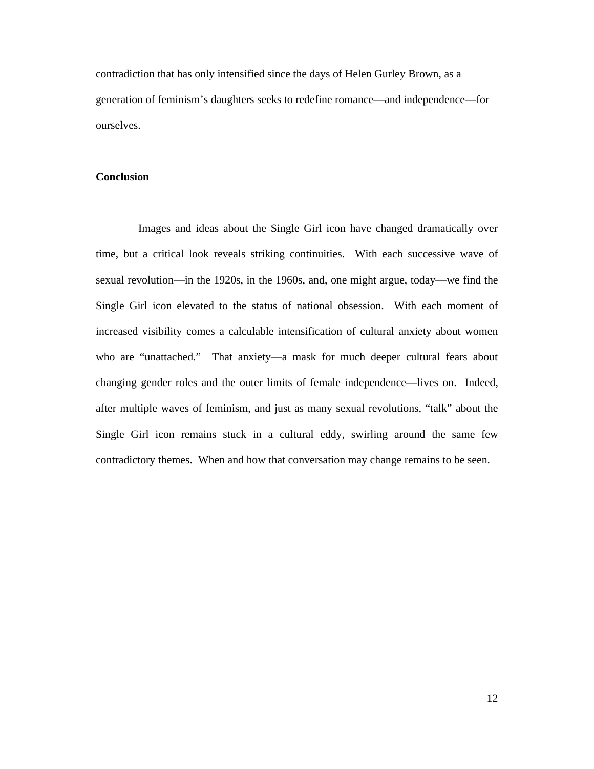contradiction that has only intensified since the days of Helen Gurley Brown, as a generation of feminism's daughters seeks to redefine romance—and independence—for ourselves.

## **Conclusion**

Images and ideas about the Single Girl icon have changed dramatically over time, but a critical look reveals striking continuities. With each successive wave of sexual revolution—in the 1920s, in the 1960s, and, one might argue, today—we find the Single Girl icon elevated to the status of national obsession. With each moment of increased visibility comes a calculable intensification of cultural anxiety about women who are "unattached." That anxiety—a mask for much deeper cultural fears about changing gender roles and the outer limits of female independence—lives on. Indeed, after multiple waves of feminism, and just as many sexual revolutions, "talk" about the Single Girl icon remains stuck in a cultural eddy, swirling around the same few contradictory themes. When and how that conversation may change remains to be seen.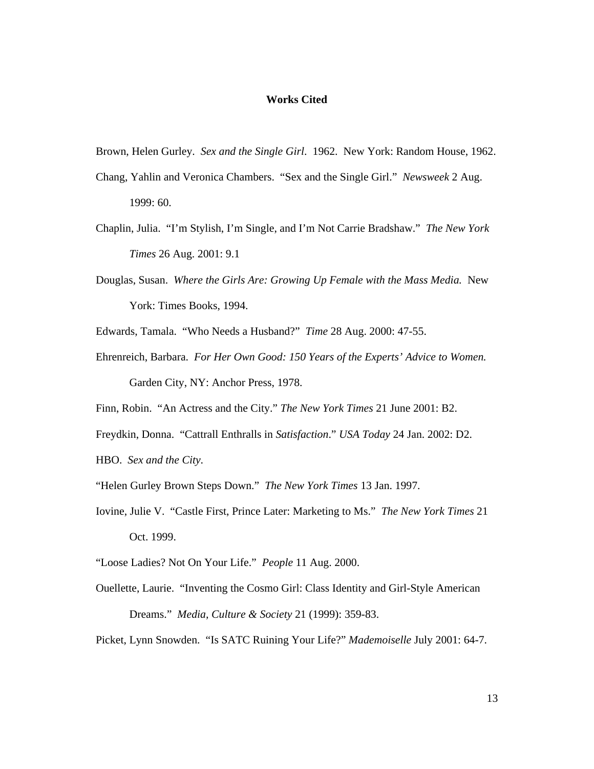#### **Works Cited**

Brown, Helen Gurley. *Sex and the Single Girl*. 1962. New York: Random House, 1962.

- Chang, Yahlin and Veronica Chambers. "Sex and the Single Girl." *Newsweek* 2 Aug. 1999: 60.
- Chaplin, Julia. "I'm Stylish, I'm Single, and I'm Not Carrie Bradshaw." *The New York Times* 26 Aug. 2001: 9.1
- Douglas, Susan. *Where the Girls Are: Growing Up Female with the Mass Media.* New York: Times Books, 1994.
- Edwards, Tamala. "Who Needs a Husband?" *Time* 28 Aug. 2000: 47-55.
- Ehrenreich, Barbara. *For Her Own Good: 150 Years of the Experts' Advice to Women.* Garden City, NY: Anchor Press, 1978.

Finn, Robin. "An Actress and the City." *The New York Times* 21 June 2001: B2.

Freydkin, Donna. "Cattrall Enthralls in *Satisfaction*." *USA Today* 24 Jan. 2002: D2.

HBO. *Sex and the City*.

- "Helen Gurley Brown Steps Down." *The New York Times* 13 Jan. 1997.
- Iovine, Julie V. "Castle First, Prince Later: Marketing to Ms." *The New York Times* 21 Oct. 1999.
- "Loose Ladies? Not On Your Life." *People* 11 Aug. 2000.
- Ouellette, Laurie. "Inventing the Cosmo Girl: Class Identity and Girl-Style American Dreams." *Media, Culture & Society* 21 (1999): 359-83.

Picket, Lynn Snowden. "Is SATC Ruining Your Life?" *Mademoiselle* July 2001: 64-7.